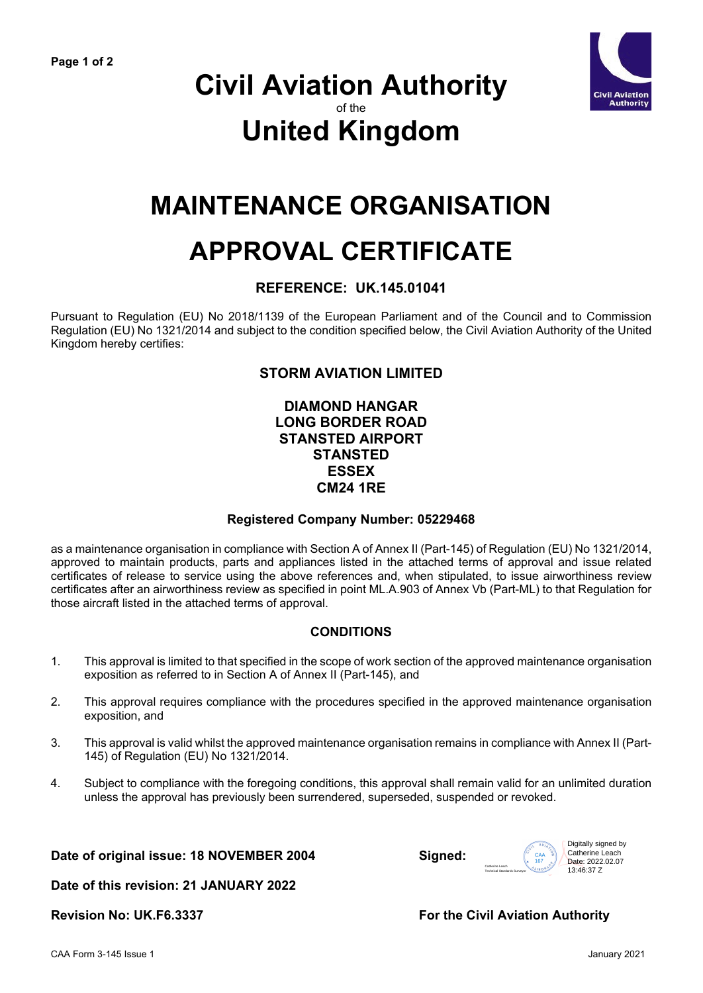

### **Civil Aviation Authority** of the **United Kingdom**

## **MAINTENANCE ORGANISATION**

# **APPROVAL CERTIFICATE**

#### **REFERENCE: UK.145.01041**

Pursuant to Regulation (EU) No 2018/1139 of the European Parliament and of the Council and to Commission Regulation (EU) No 1321/2014 and subject to the condition specified below, the Civil Aviation Authority of the United Kingdom hereby certifies:

### **STORM AVIATION LIMITED**

#### **DIAMOND HANGAR LONG BORDER ROAD STANSTED AIRPORT STANSTED ESSEX CM24 1RE**

#### **Registered Company Number: 05229468**

as a maintenance organisation in compliance with Section A of Annex II (Part-145) of Regulation (EU) No 1321/2014, approved to maintain products, parts and appliances listed in the attached terms of approval and issue related certificates of release to service using the above references and, when stipulated, to issue airworthiness review certificates after an airworthiness review as specified in point ML.A.903 of Annex Vb (Part-ML) to that Regulation for those aircraft listed in the attached terms of approval.

#### **CONDITIONS**

- 1. This approval is limited to that specified in the scope of work section of the approved maintenance organisation exposition as referred to in Section A of Annex II (Part-145), and
- 2. This approval requires compliance with the procedures specified in the approved maintenance organisation exposition, and
- 3. This approval is valid whilst the approved maintenance organisation remains in compliance with Annex II (Part-145) of Regulation (EU) No 1321/2014.
- 4. Subject to compliance with the foregoing conditions, this approval shall remain valid for an unlimited duration unless the approval has previously been surrendered, superseded, suspended or revoked.

**Date of original issue: 18 NOVEMBER 2004 Signed:**



**Date of this revision: 21 JANUARY 2022**

#### **Revision No: UK.F6.3337 For the Civil Aviation Authority**